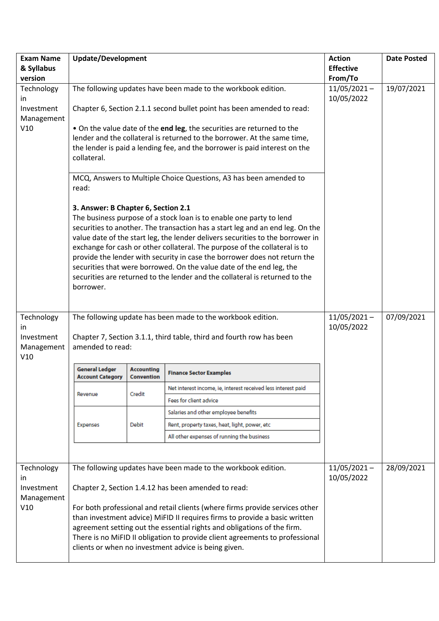| <b>Exam Name</b><br>& Syllabus | <b>Update/Development</b>                                                                                                                               |                                                                     |                                                                                                                                                                 | <b>Action</b><br><b>Effective</b> | <b>Date Posted</b> |
|--------------------------------|---------------------------------------------------------------------------------------------------------------------------------------------------------|---------------------------------------------------------------------|-----------------------------------------------------------------------------------------------------------------------------------------------------------------|-----------------------------------|--------------------|
| version                        |                                                                                                                                                         | From/To                                                             |                                                                                                                                                                 |                                   |                    |
| Technology<br><i>in</i>        | The following updates have been made to the workbook edition.                                                                                           |                                                                     | $11/05/2021 -$<br>10/05/2022                                                                                                                                    | 19/07/2021                        |                    |
| Investment<br>Management       | Chapter 6, Section 2.1.1 second bullet point has been amended to read:                                                                                  |                                                                     |                                                                                                                                                                 |                                   |                    |
| V10                            |                                                                                                                                                         |                                                                     | . On the value date of the end leg, the securities are returned to the                                                                                          |                                   |                    |
|                                |                                                                                                                                                         |                                                                     | lender and the collateral is returned to the borrower. At the same time,                                                                                        |                                   |                    |
|                                | the lender is paid a lending fee, and the borrower is paid interest on the<br>collateral.                                                               |                                                                     |                                                                                                                                                                 |                                   |                    |
|                                | MCQ, Answers to Multiple Choice Questions, A3 has been amended to<br>read:                                                                              |                                                                     |                                                                                                                                                                 |                                   |                    |
|                                | 3. Answer: B Chapter 6, Section 2.1                                                                                                                     | The business purpose of a stock loan is to enable one party to lend |                                                                                                                                                                 |                                   |                    |
|                                |                                                                                                                                                         |                                                                     | securities to another. The transaction has a start leg and an end leg. On the<br>value date of the start leg, the lender delivers securities to the borrower in |                                   |                    |
|                                |                                                                                                                                                         |                                                                     | exchange for cash or other collateral. The purpose of the collateral is to<br>provide the lender with security in case the borrower does not return the         |                                   |                    |
|                                | securities that were borrowed. On the value date of the end leg, the                                                                                    |                                                                     |                                                                                                                                                                 |                                   |                    |
|                                |                                                                                                                                                         |                                                                     | securities are returned to the lender and the collateral is returned to the                                                                                     |                                   |                    |
|                                | borrower.                                                                                                                                               |                                                                     |                                                                                                                                                                 |                                   |                    |
|                                |                                                                                                                                                         |                                                                     |                                                                                                                                                                 |                                   |                    |
| Technology<br>in.              |                                                                                                                                                         |                                                                     | The following update has been made to the workbook edition.                                                                                                     | $11/05/2021 -$<br>10/05/2022      | 07/09/2021         |
| Investment                     |                                                                                                                                                         |                                                                     | Chapter 7, Section 3.1.1, third table, third and fourth row has been                                                                                            |                                   |                    |
| Management<br>V10              | amended to read:                                                                                                                                        |                                                                     |                                                                                                                                                                 |                                   |                    |
|                                | General Ledger<br><b>Account Category</b>                                                                                                               | Accounting<br><b>Convention</b>                                     | <b>Finance Sector Examples</b>                                                                                                                                  |                                   |                    |
|                                | Revenue                                                                                                                                                 | Credit                                                              | Net interest income, ie, interest received less interest paid                                                                                                   |                                   |                    |
|                                |                                                                                                                                                         |                                                                     | Fees for client advice                                                                                                                                          |                                   |                    |
|                                |                                                                                                                                                         | <b>Debit</b>                                                        | Salaries and other employee benefits                                                                                                                            |                                   |                    |
|                                | <b>Expenses</b>                                                                                                                                         |                                                                     | Rent, property taxes, heat, light, power, etc                                                                                                                   |                                   |                    |
|                                |                                                                                                                                                         |                                                                     | All other expenses of running the business                                                                                                                      |                                   |                    |
|                                |                                                                                                                                                         |                                                                     |                                                                                                                                                                 |                                   |                    |
| Technology<br>in.              | The following updates have been made to the workbook edition.                                                                                           |                                                                     | $11/05/2021 -$<br>10/05/2022                                                                                                                                    | 28/09/2021                        |                    |
| Investment<br>Management       | Chapter 2, Section 1.4.12 has been amended to read:                                                                                                     |                                                                     |                                                                                                                                                                 |                                   |                    |
| V10                            | For both professional and retail clients (where firms provide services other                                                                            |                                                                     |                                                                                                                                                                 |                                   |                    |
|                                | than investment advice) MiFID II requires firms to provide a basic written                                                                              |                                                                     |                                                                                                                                                                 |                                   |                    |
|                                | agreement setting out the essential rights and obligations of the firm.<br>There is no MiFID II obligation to provide client agreements to professional |                                                                     |                                                                                                                                                                 |                                   |                    |
|                                | clients or when no investment advice is being given.                                                                                                    |                                                                     |                                                                                                                                                                 |                                   |                    |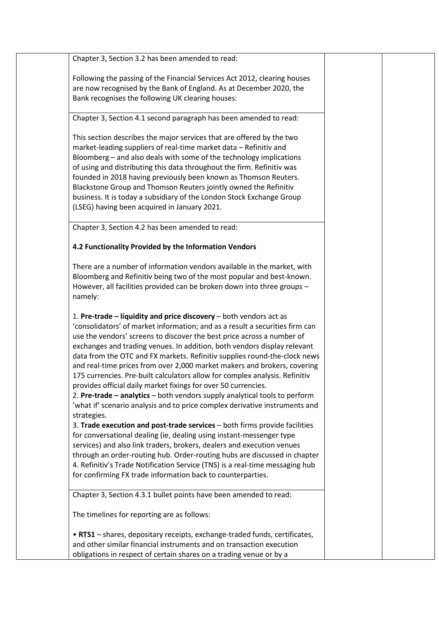| Chapter 3, Section 3.2 has been amended to read:                             |  |
|------------------------------------------------------------------------------|--|
| Following the passing of the Financial Services Act 2012, clearing houses    |  |
| are now recognised by the Bank of England. As at December 2020, the          |  |
| Bank recognises the following UK clearing houses:                            |  |
|                                                                              |  |
| Chapter 3, Section 4.1 second paragraph has been amended to read:            |  |
| This section describes the major services that are offered by the two        |  |
| market-leading suppliers of real-time market data - Refinitiv and            |  |
| Bloomberg - and also deals with some of the technology implications          |  |
| of using and distributing this data throughout the firm. Refinitiv was       |  |
| founded in 2018 having previously been known as Thomson Reuters.             |  |
| Blackstone Group and Thomson Reuters jointly owned the Refinitiv             |  |
| business. It is today a subsidiary of the London Stock Exchange Group        |  |
| (LSEG) having been acquired in January 2021.                                 |  |
|                                                                              |  |
| Chapter 3, Section 4.2 has been amended to read:                             |  |
| 4.2 Functionality Provided by the Information Vendors                        |  |
| There are a number of information vendors available in the market, with      |  |
| Bloomberg and Refinitiv being two of the most popular and best-known.        |  |
| However, all facilities provided can be broken down into three groups -      |  |
| namely:                                                                      |  |
|                                                                              |  |
| 1. Pre-trade - liquidity and price discovery - both vendors act as           |  |
| 'consolidators' of market information; and as a result a securities firm can |  |
| use the vendors' screens to discover the best price across a number of       |  |
| exchanges and trading venues. In addition, both vendors display relevant     |  |
| data from the OTC and FX markets. Refinitiv supplies round-the-clock news    |  |
| and real-time prices from over 2,000 market makers and brokers, covering     |  |
| 175 currencies. Pre-built calculators allow for complex analysis. Refinitiv  |  |
| provides official daily market fixings for over 50 currencies.               |  |
| 2. Pre-trade - analytics - both vendors supply analytical tools to perform   |  |
| 'what if' scenario analysis and to price complex derivative instruments and  |  |
| strategies.                                                                  |  |
| 3. Trade execution and post-trade services - both firms provide facilities   |  |
| for conversational dealing (ie, dealing using instant-messenger type         |  |
| services) and also link traders, brokers, dealers and execution venues       |  |
| through an order-routing hub. Order-routing hubs are discussed in chapter    |  |
| 4. Refinitiv's Trade Notification Service (TNS) is a real-time messaging hub |  |
| for confirming FX trade information back to counterparties.                  |  |
| Chapter 3, Section 4.3.1 bullet points have been amended to read:            |  |
| The timelines for reporting are as follows:                                  |  |
| . RTS1 - shares, depositary receipts, exchange-traded funds, certificates,   |  |
| and other similar financial instruments and on transaction execution         |  |
| obligations in respect of certain shares on a trading venue or by a          |  |
|                                                                              |  |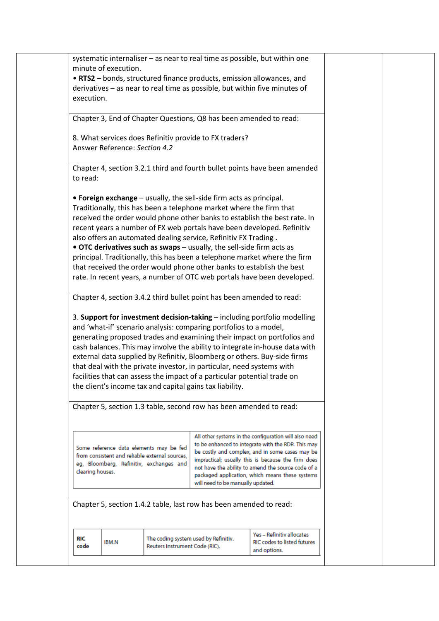|                  | minute of execution.          |                                                |                                                                                                                                            | systematic internaliser - as near to real time as possible, but within one                            |  |
|------------------|-------------------------------|------------------------------------------------|--------------------------------------------------------------------------------------------------------------------------------------------|-------------------------------------------------------------------------------------------------------|--|
|                  |                               |                                                |                                                                                                                                            | • RTS2 - bonds, structured finance products, emission allowances, and                                 |  |
|                  |                               |                                                |                                                                                                                                            | derivatives - as near to real time as possible, but within five minutes of                            |  |
| execution.       |                               |                                                |                                                                                                                                            |                                                                                                       |  |
|                  |                               |                                                |                                                                                                                                            |                                                                                                       |  |
|                  |                               |                                                | Chapter 3, End of Chapter Questions, Q8 has been amended to read:                                                                          |                                                                                                       |  |
|                  |                               |                                                | 8. What services does Refinitiv provide to FX traders?                                                                                     |                                                                                                       |  |
|                  | Answer Reference: Section 4.2 |                                                |                                                                                                                                            |                                                                                                       |  |
|                  |                               |                                                |                                                                                                                                            |                                                                                                       |  |
| to read:         |                               |                                                |                                                                                                                                            | Chapter 4, section 3.2.1 third and fourth bullet points have been amended                             |  |
|                  |                               |                                                |                                                                                                                                            |                                                                                                       |  |
|                  |                               |                                                | • Foreign exchange – usually, the sell-side firm acts as principal.<br>Traditionally, this has been a telephone market where the firm that |                                                                                                       |  |
|                  |                               |                                                |                                                                                                                                            | received the order would phone other banks to establish the best rate. In                             |  |
|                  |                               |                                                |                                                                                                                                            | recent years a number of FX web portals have been developed. Refinitiv                                |  |
|                  |                               |                                                | also offers an automated dealing service, Refinitiv FX Trading.                                                                            |                                                                                                       |  |
|                  |                               |                                                | . OTC derivatives such as swaps - usually, the sell-side firm acts as                                                                      |                                                                                                       |  |
|                  |                               |                                                |                                                                                                                                            | principal. Traditionally, this has been a telephone market where the firm                             |  |
|                  |                               |                                                |                                                                                                                                            | that received the order would phone other banks to establish the best                                 |  |
|                  |                               |                                                |                                                                                                                                            | rate. In recent years, a number of OTC web portals have been developed.                               |  |
|                  |                               |                                                |                                                                                                                                            |                                                                                                       |  |
|                  |                               |                                                | Chapter 4, section 3.4.2 third bullet point has been amended to read:                                                                      |                                                                                                       |  |
|                  |                               |                                                |                                                                                                                                            | 3. Support for investment decision-taking - including portfolio modelling                             |  |
|                  |                               |                                                | and 'what-if' scenario analysis: comparing portfolios to a model,                                                                          |                                                                                                       |  |
|                  |                               |                                                |                                                                                                                                            | generating proposed trades and examining their impact on portfolios and                               |  |
|                  |                               |                                                |                                                                                                                                            | cash balances. This may involve the ability to integrate in-house data with                           |  |
|                  |                               |                                                |                                                                                                                                            | external data supplied by Refinitiv, Bloomberg or others. Buy-side firms                              |  |
|                  |                               |                                                | that deal with the private investor, in particular, need systems with                                                                      |                                                                                                       |  |
|                  |                               |                                                | facilities that can assess the impact of a particular potential trade on                                                                   |                                                                                                       |  |
|                  |                               |                                                | the client's income tax and capital gains tax liability.                                                                                   |                                                                                                       |  |
|                  |                               |                                                | Chapter 5, section 1.3 table, second row has been amended to read:                                                                         |                                                                                                       |  |
|                  |                               |                                                |                                                                                                                                            |                                                                                                       |  |
|                  |                               |                                                |                                                                                                                                            | All other systems in the configuration will also need                                                 |  |
|                  |                               | Some reference data elements may be fed        |                                                                                                                                            | to be enhanced to integrate with the RDR. This may                                                    |  |
|                  |                               | from consistent and reliable external sources, |                                                                                                                                            | be costly and complex, and in some cases may be<br>impractical; usually this is because the firm does |  |
|                  |                               | eg, Bloomberg, Refinitiv, exchanges and        |                                                                                                                                            | not have the ability to amend the source code of a                                                    |  |
| clearing houses. |                               |                                                |                                                                                                                                            | packaged application, which means these systems                                                       |  |
|                  |                               |                                                | will need to be manually updated.                                                                                                          |                                                                                                       |  |
|                  |                               |                                                |                                                                                                                                            |                                                                                                       |  |
|                  |                               |                                                | Chapter 5, section 1.4.2 table, last row has been amended to read:                                                                         |                                                                                                       |  |
|                  |                               |                                                |                                                                                                                                            |                                                                                                       |  |
| <b>RIC</b>       |                               |                                                | The coding system used by Refinitiv.                                                                                                       | Yes - Refinitiv allocates                                                                             |  |
| code             | <b>IBM.N</b>                  | Reuters Instrument Code (RIC).                 |                                                                                                                                            | <b>RIC codes to listed futures</b><br>and options.                                                    |  |
|                  |                               |                                                |                                                                                                                                            |                                                                                                       |  |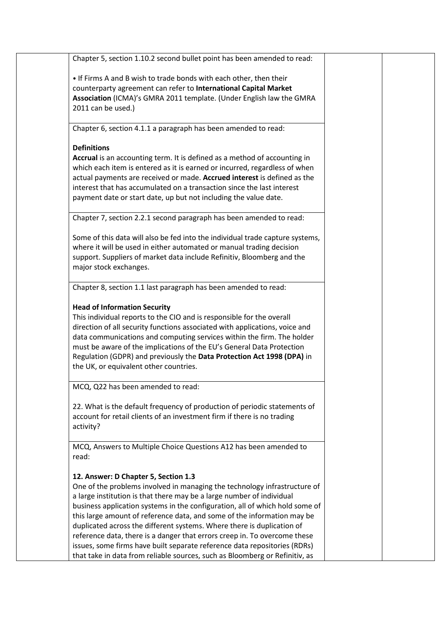| Chapter 5, section 1.10.2 second bullet point has been amended to read:                                                                                                                                                                                                                                                                                                                                                                                                                                                                                                                                                                                                  |  |
|--------------------------------------------------------------------------------------------------------------------------------------------------------------------------------------------------------------------------------------------------------------------------------------------------------------------------------------------------------------------------------------------------------------------------------------------------------------------------------------------------------------------------------------------------------------------------------------------------------------------------------------------------------------------------|--|
| . If Firms A and B wish to trade bonds with each other, then their<br>counterparty agreement can refer to International Capital Market<br>Association (ICMA)'s GMRA 2011 template. (Under English law the GMRA<br>2011 can be used.)                                                                                                                                                                                                                                                                                                                                                                                                                                     |  |
| Chapter 6, section 4.1.1 a paragraph has been amended to read:                                                                                                                                                                                                                                                                                                                                                                                                                                                                                                                                                                                                           |  |
| <b>Definitions</b>                                                                                                                                                                                                                                                                                                                                                                                                                                                                                                                                                                                                                                                       |  |
| Accrual is an accounting term. It is defined as a method of accounting in<br>which each item is entered as it is earned or incurred, regardless of when<br>actual payments are received or made. Accrued interest is defined as the<br>interest that has accumulated on a transaction since the last interest<br>payment date or start date, up but not including the value date.                                                                                                                                                                                                                                                                                        |  |
| Chapter 7, section 2.2.1 second paragraph has been amended to read:                                                                                                                                                                                                                                                                                                                                                                                                                                                                                                                                                                                                      |  |
| Some of this data will also be fed into the individual trade capture systems,<br>where it will be used in either automated or manual trading decision<br>support. Suppliers of market data include Refinitiv, Bloomberg and the<br>major stock exchanges.                                                                                                                                                                                                                                                                                                                                                                                                                |  |
| Chapter 8, section 1.1 last paragraph has been amended to read:                                                                                                                                                                                                                                                                                                                                                                                                                                                                                                                                                                                                          |  |
| <b>Head of Information Security</b><br>This individual reports to the CIO and is responsible for the overall<br>direction of all security functions associated with applications, voice and<br>data communications and computing services within the firm. The holder<br>must be aware of the implications of the EU's General Data Protection<br>Regulation (GDPR) and previously the Data Protection Act 1998 (DPA) in<br>the UK, or equivalent other countries.                                                                                                                                                                                                       |  |
| MCQ, Q22 has been amended to read:                                                                                                                                                                                                                                                                                                                                                                                                                                                                                                                                                                                                                                       |  |
| 22. What is the default frequency of production of periodic statements of<br>account for retail clients of an investment firm if there is no trading<br>activity?                                                                                                                                                                                                                                                                                                                                                                                                                                                                                                        |  |
| MCQ, Answers to Multiple Choice Questions A12 has been amended to<br>read:                                                                                                                                                                                                                                                                                                                                                                                                                                                                                                                                                                                               |  |
| 12. Answer: D Chapter 5, Section 1.3<br>One of the problems involved in managing the technology infrastructure of<br>a large institution is that there may be a large number of individual<br>business application systems in the configuration, all of which hold some of<br>this large amount of reference data, and some of the information may be<br>duplicated across the different systems. Where there is duplication of<br>reference data, there is a danger that errors creep in. To overcome these<br>issues, some firms have built separate reference data repositories (RDRs)<br>that take in data from reliable sources, such as Bloomberg or Refinitiv, as |  |